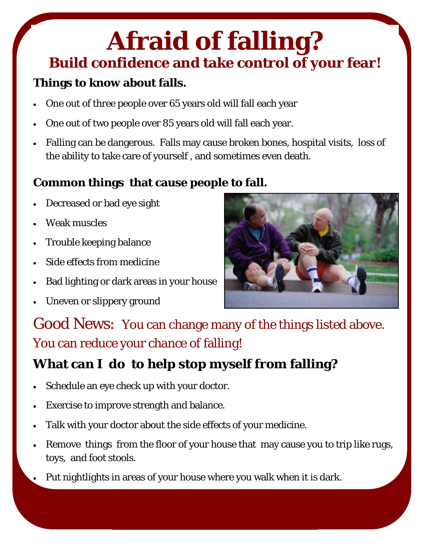## **Afraid of falling? Build confidence and take control of your fear!**

### **Things to know about falls.**

- One out of three people over 65 years old will fall each year
- One out of two people over 85 years old will fall each year.
- Falling can be dangerous. Falls may cause broken bones, hospital visits, loss of the ability to take care of yourself , and sometimes even death.

### **Common things that cause people to fall.**

- Decreased or bad eye sight
- Weak muscles
- Trouble keeping balance
- Side effects from medicine
- Bad lighting or dark areas in your house
- Uneven or slippery ground



Good News: You can change many of the things listed above. You can reduce your chance of falling!

### **What can I do to help stop myself from falling?**

- Schedule an eye check up with your doctor.
- Exercise to improve strength and balance.
- Talk with your doctor about the side effects of your medicine.
- Remove things from the floor of your house that may cause you to trip like rugs, toys, and foot stools.
- Put nightlights in areas of your house where you walk when it is dark.